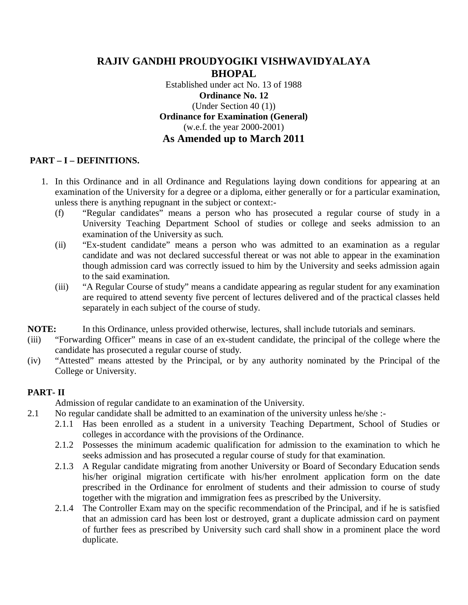# **RAJIV GANDHI PROUDYOGIKI VISHWAVIDYALAYA BHOPAL** Established under act No. 13 of 1988 **Ordinance No. 12** (Under Section 40 (1)) **Ordinance for Examination (General)** (w.e.f. the year 2000-2001) **As Amended up to March 2011**

# **PART – I – DEFINITIONS.**

- 1. In this Ordinance and in all Ordinance and Regulations laying down conditions for appearing at an examination of the University for a degree or a diploma, either generally or for a particular examination, unless there is anything repugnant in the subject or context:-
	- (f) "Regular candidates" means a person who has prosecuted a regular course of study in a University Teaching Department School of studies or college and seeks admission to an examination of the University as such.
	- (ii) "Ex-student candidate" means a person who was admitted to an examination as a regular candidate and was not declared successful thereat or was not able to appear in the examination though admission card was correctly issued to him by the University and seeks admission again to the said examination.
	- (iii) "A Regular Course of study" means a candidate appearing as regular student for any examination are required to attend seventy five percent of lectures delivered and of the practical classes held separately in each subject of the course of study.

**NOTE:** In this Ordinance, unless provided otherwise, lectures, shall include tutorials and seminars.

- (iii) "Forwarding Officer" means in case of an ex-student candidate, the principal of the college where the candidate has prosecuted a regular course of study.
- (iv) "Attested" means attested by the Principal, or by any authority nominated by the Principal of the College or University.

## **PART- II**

Admission of regular candidate to an examination of the University.

- 2.1 No regular candidate shall be admitted to an examination of the university unless he/she :-
	- 2.1.1 Has been enrolled as a student in a university Teaching Department, School of Studies or colleges in accordance with the provisions of the Ordinance.
	- 2.1.2 Possesses the minimum academic qualification for admission to the examination to which he seeks admission and has prosecuted a regular course of study for that examination.
	- 2.1.3 A Regular candidate migrating from another University or Board of Secondary Education sends his/her original migration certificate with his/her enrolment application form on the date prescribed in the Ordinance for enrolment of students and their admission to course of study together with the migration and immigration fees as prescribed by the University.
	- 2.1.4 The Controller Exam may on the specific recommendation of the Principal, and if he is satisfied that an admission card has been lost or destroyed, grant a duplicate admission card on payment of further fees as prescribed by University such card shall show in a prominent place the word duplicate.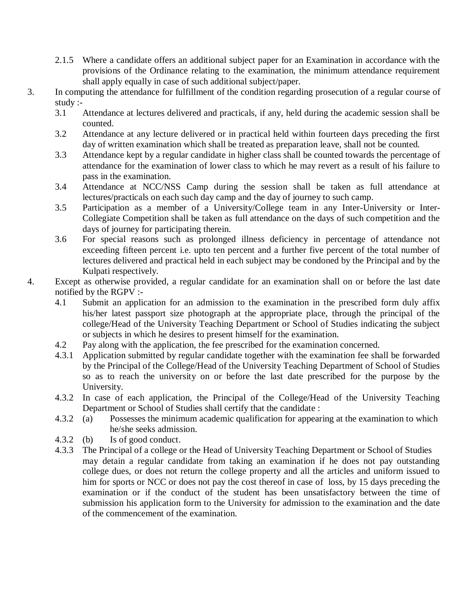- 2.1.5 Where a candidate offers an additional subject paper for an Examination in accordance with the provisions of the Ordinance relating to the examination, the minimum attendance requirement shall apply equally in case of such additional subject/paper.
- 3. In computing the attendance for fulfillment of the condition regarding prosecution of a regular course of study :-
	- 3.1 Attendance at lectures delivered and practicals, if any, held during the academic session shall be counted.
	- 3.2 Attendance at any lecture delivered or in practical held within fourteen days preceding the first day of written examination which shall be treated as preparation leave, shall not be counted.
	- 3.3 Attendance kept by a regular candidate in higher class shall be counted towards the percentage of attendance for the examination of lower class to which he may revert as a result of his failure to pass in the examination.
	- 3.4 Attendance at NCC/NSS Camp during the session shall be taken as full attendance at lectures/practicals on each such day camp and the day of journey to such camp.
	- 3.5 Participation as a member of a University/College team in any Inter-University or Inter-Collegiate Competition shall be taken as full attendance on the days of such competition and the days of journey for participating therein.
	- 3.6 For special reasons such as prolonged illness deficiency in percentage of attendance not exceeding fifteen percent i.e. upto ten percent and a further five percent of the total number of lectures delivered and practical held in each subject may be condoned by the Principal and by the Kulpati respectively.
- 4. Except as otherwise provided, a regular candidate for an examination shall on or before the last date notified by the RGPV :-
	- 4.1 Submit an application for an admission to the examination in the prescribed form duly affix his/her latest passport size photograph at the appropriate place, through the principal of the college/Head of the University Teaching Department or School of Studies indicating the subject or subjects in which he desires to present himself for the examination.
	- 4.2 Pay along with the application, the fee prescribed for the examination concerned.
	- 4.3.1 Application submitted by regular candidate together with the examination fee shall be forwarded by the Principal of the College/Head of the University Teaching Department of School of Studies so as to reach the university on or before the last date prescribed for the purpose by the University.
	- 4.3.2 In case of each application, the Principal of the College/Head of the University Teaching Department or School of Studies shall certify that the candidate :
	- 4.3.2 (a) Possesses the minimum academic qualification for appearing at the examination to which he/she seeks admission.
	- 4.3.2 (b) Is of good conduct.
	- 4.3.3 The Principal of a college or the Head of University Teaching Department or School of Studies may detain a regular candidate from taking an examination if he does not pay outstanding college dues, or does not return the college property and all the articles and uniform issued to him for sports or NCC or does not pay the cost thereof in case of loss, by 15 days preceding the examination or if the conduct of the student has been unsatisfactory between the time of submission his application form to the University for admission to the examination and the date of the commencement of the examination.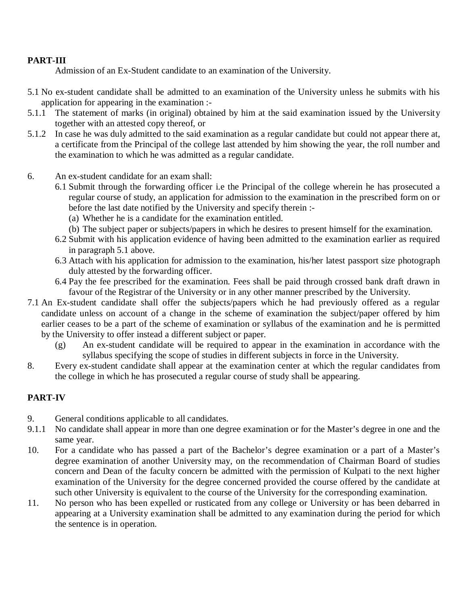### **PART-III**

Admission of an Ex-Student candidate to an examination of the University.

- 5.1 No ex-student candidate shall be admitted to an examination of the University unless he submits with his application for appearing in the examination :-
- 5.1.1 The statement of marks (in original) obtained by him at the said examination issued by the University together with an attested copy thereof, or
- 5.1.2 In case he was duly admitted to the said examination as a regular candidate but could not appear there at, a certificate from the Principal of the college last attended by him showing the year, the roll number and the examination to which he was admitted as a regular candidate.
- 6. An ex-student candidate for an exam shall:
	- 6.1 Submit through the forwarding officer i.e the Principal of the college wherein he has prosecuted a regular course of study, an application for admission to the examination in the prescribed form on or before the last date notified by the University and specify therein :-
		- (a) Whether he is a candidate for the examination entitled.
		- (b) The subject paper or subjects/papers in which he desires to present himself for the examination.
	- 6.2 Submit with his application evidence of having been admitted to the examination earlier as required in paragraph 5.1 above.
	- 6.3 Attach with his application for admission to the examination, his/her latest passport size photograph duly attested by the forwarding officer.
	- 6.4 Pay the fee prescribed for the examination. Fees shall be paid through crossed bank draft drawn in favour of the Registrar of the University or in any other manner prescribed by the University.
- 7.1 An Ex-student candidate shall offer the subjects/papers which he had previously offered as a regular candidate unless on account of a change in the scheme of examination the subject/paper offered by him earlier ceases to be a part of the scheme of examination or syllabus of the examination and he is permitted by the University to offer instead a different subject or paper.
	- (g) An ex-student candidate will be required to appear in the examination in accordance with the syllabus specifying the scope of studies in different subjects in force in the University.
- 8. Every ex-student candidate shall appear at the examination center at which the regular candidates from the college in which he has prosecuted a regular course of study shall be appearing.

## **PART-IV**

- 9. General conditions applicable to all candidates.
- 9.1.1 No candidate shall appear in more than one degree examination or for the Master's degree in one and the same year.
- 10. For a candidate who has passed a part of the Bachelor's degree examination or a part of a Master's degree examination of another University may, on the recommendation of Chairman Board of studies concern and Dean of the faculty concern be admitted with the permission of Kulpati to the next higher examination of the University for the degree concerned provided the course offered by the candidate at such other University is equivalent to the course of the University for the corresponding examination.
- 11. No person who has been expelled or rusticated from any college or University or has been debarred in appearing at a University examination shall be admitted to any examination during the period for which the sentence is in operation.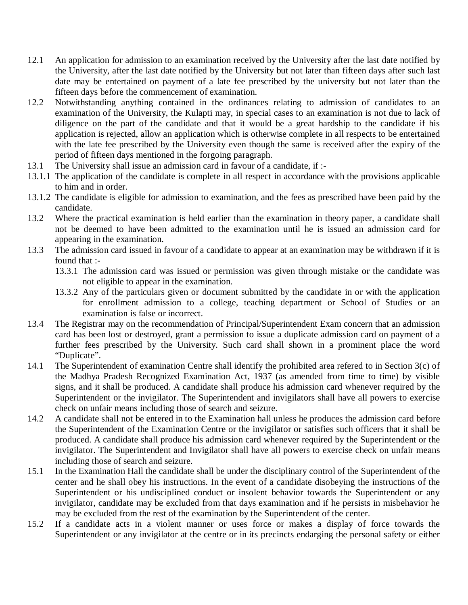- 12.1 An application for admission to an examination received by the University after the last date notified by the University, after the last date notified by the University but not later than fifteen days after such last date may be entertained on payment of a late fee prescribed by the university but not later than the fifteen days before the commencement of examination.
- 12.2 Notwithstanding anything contained in the ordinances relating to admission of candidates to an examination of the University, the Kulapti may, in special cases to an examination is not due to lack of diligence on the part of the candidate and that it would be a great hardship to the candidate if his application is rejected, allow an application which is otherwise complete in all respects to be entertained with the late fee prescribed by the University even though the same is received after the expiry of the period of fifteen days mentioned in the forgoing paragraph.
- 13.1 The University shall issue an admission card in favour of a candidate, if :-
- 13.1.1 The application of the candidate is complete in all respect in accordance with the provisions applicable to him and in order.
- 13.1.2 The candidate is eligible for admission to examination, and the fees as prescribed have been paid by the candidate.
- 13.2 Where the practical examination is held earlier than the examination in theory paper, a candidate shall not be deemed to have been admitted to the examination until he is issued an admission card for appearing in the examination.
- 13.3 The admission card issued in favour of a candidate to appear at an examination may be withdrawn if it is found that :-
	- 13.3.1 The admission card was issued or permission was given through mistake or the candidate was not eligible to appear in the examination.
	- 13.3.2 Any of the particulars given or document submitted by the candidate in or with the application for enrollment admission to a college, teaching department or School of Studies or an examination is false or incorrect.
- 13.4 The Registrar may on the recommendation of Principal/Superintendent Exam concern that an admission card has been lost or destroyed, grant a permission to issue a duplicate admission card on payment of a further fees prescribed by the University. Such card shall shown in a prominent place the word "Duplicate".
- 14.1 The Superintendent of examination Centre shall identify the prohibited area refered to in Section 3(c) of the Madhya Pradesh Recognized Examination Act, 1937 (as amended from time to time) by visible signs, and it shall be produced. A candidate shall produce his admission card whenever required by the Superintendent or the invigilator. The Superintendent and invigilators shall have all powers to exercise check on unfair means including those of search and seizure.
- 14.2 A candidate shall not be entered in to the Examination hall unless he produces the admission card before the Superintendent of the Examination Centre or the invigilator or satisfies such officers that it shall be produced. A candidate shall produce his admission card whenever required by the Superintendent or the invigilator. The Superintendent and Invigilator shall have all powers to exercise check on unfair means including those of search and seizure.
- 15.1 In the Examination Hall the candidate shall be under the disciplinary control of the Superintendent of the center and he shall obey his instructions. In the event of a candidate disobeying the instructions of the Superintendent or his undisciplined conduct or insolent behavior towards the Superintendent or any invigilator, candidate may be excluded from that days examination and if he persists in misbehavior he may be excluded from the rest of the examination by the Superintendent of the center.
- 15.2 If a candidate acts in a violent manner or uses force or makes a display of force towards the Superintendent or any invigilator at the centre or in its precincts endarging the personal safety or either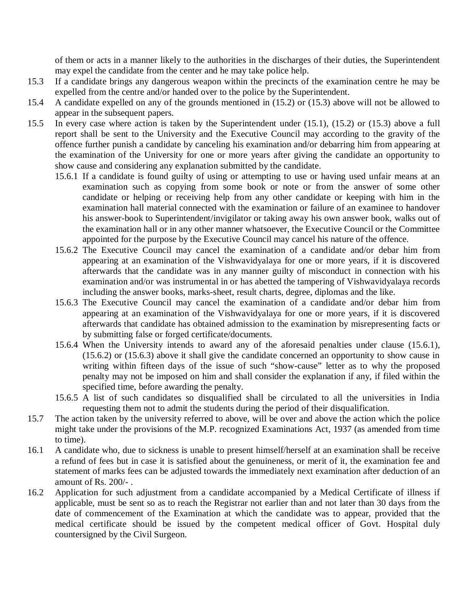of them or acts in a manner likely to the authorities in the discharges of their duties, the Superintendent may expel the candidate from the center and he may take police help.

- 15.3 If a candidate brings any dangerous weapon within the precincts of the examination centre he may be expelled from the centre and/or handed over to the police by the Superintendent.
- 15.4 A candidate expelled on any of the grounds mentioned in (15.2) or (15.3) above will not be allowed to appear in the subsequent papers.
- 15.5 In every case where action is taken by the Superintendent under (15.1), (15.2) or (15.3) above a full report shall be sent to the University and the Executive Council may according to the gravity of the offence further punish a candidate by canceling his examination and/or debarring him from appearing at the examination of the University for one or more years after giving the candidate an opportunity to show cause and considering any explanation submitted by the candidate.
	- 15.6.1 If a candidate is found guilty of using or attempting to use or having used unfair means at an examination such as copying from some book or note or from the answer of some other candidate or helping or receiving help from any other candidate or keeping with him in the examination hall material connected with the examination or failure of an examinee to handover his answer-book to Superintendent/invigilator or taking away his own answer book, walks out of the examination hall or in any other manner whatsoever, the Executive Council or the Committee appointed for the purpose by the Executive Council may cancel his nature of the offence.
	- 15.6.2 The Executive Council may cancel the examination of a candidate and/or debar him from appearing at an examination of the Vishwavidyalaya for one or more years, if it is discovered afterwards that the candidate was in any manner guilty of misconduct in connection with his examination and/or was instrumental in or has abetted the tampering of Vishwavidyalaya records including the answer books, marks-sheet, result charts, degree, diplomas and the like.
	- 15.6.3 The Executive Council may cancel the examination of a candidate and/or debar him from appearing at an examination of the Vishwavidyalaya for one or more years, if it is discovered afterwards that candidate has obtained admission to the examination by misrepresenting facts or by submitting false or forged certificate/documents.
	- 15.6.4 When the University intends to award any of the aforesaid penalties under clause (15.6.1), (15.6.2) or (15.6.3) above it shall give the candidate concerned an opportunity to show cause in writing within fifteen days of the issue of such "show-cause" letter as to why the proposed penalty may not be imposed on him and shall consider the explanation if any, if filed within the specified time, before awarding the penalty.
	- 15.6.5 A list of such candidates so disqualified shall be circulated to all the universities in India requesting them not to admit the students during the period of their disqualification.
- 15.7 The action taken by the university referred to above, will be over and above the action which the police might take under the provisions of the M.P. recognized Examinations Act, 1937 (as amended from time to time).
- 16.1 A candidate who, due to sickness is unable to present himself/herself at an examination shall be receive a refund of fees but in case it is satisfied about the genuineness, or merit of it, the examination fee and statement of marks fees can be adjusted towards the immediately next examination after deduction of an amount of Rs. 200/- .
- 16.2 Application for such adjustment from a candidate accompanied by a Medical Certificate of illness if applicable, must be sent so as to reach the Registrar not earlier than and not later than 30 days from the date of commencement of the Examination at which the candidate was to appear, provided that the medical certificate should be issued by the competent medical officer of Govt. Hospital duly countersigned by the Civil Surgeon.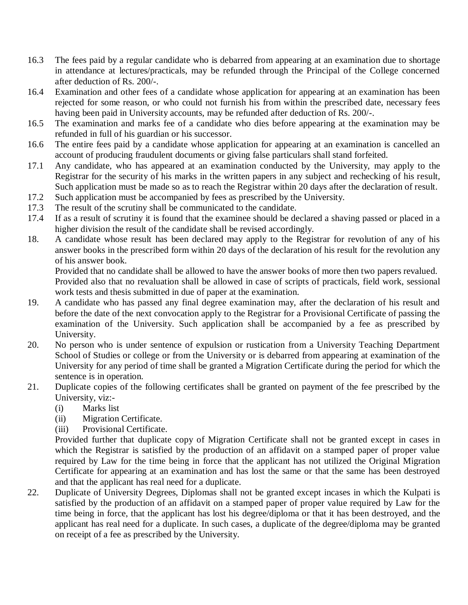- 16.3 The fees paid by a regular candidate who is debarred from appearing at an examination due to shortage in attendance at lectures/practicals, may be refunded through the Principal of the College concerned after deduction of Rs. 200/-.
- 16.4 Examination and other fees of a candidate whose application for appearing at an examination has been rejected for some reason, or who could not furnish his from within the prescribed date, necessary fees having been paid in University accounts, may be refunded after deduction of Rs. 200/-.
- 16.5 The examination and marks fee of a candidate who dies before appearing at the examination may be refunded in full of his guardian or his successor.
- 16.6 The entire fees paid by a candidate whose application for appearing at an examination is cancelled an account of producing fraudulent documents or giving false particulars shall stand forfeited.
- 17.1 Any candidate, who has appeared at an examination conducted by the University, may apply to the Registrar for the security of his marks in the written papers in any subject and rechecking of his result, Such application must be made so as to reach the Registrar within 20 days after the declaration of result.
- 17.2 Such application must be accompanied by fees as prescribed by the University.
- 17.3 The result of the scrutiny shall be communicated to the candidate.
- 17.4 If as a result of scrutiny it is found that the examinee should be declared a shaving passed or placed in a higher division the result of the candidate shall be revised accordingly.
- 18. A candidate whose result has been declared may apply to the Registrar for revolution of any of his answer books in the prescribed form within 20 days of the declaration of his result for the revolution any of his answer book.

Provided that no candidate shall be allowed to have the answer books of more then two papers revalued. Provided also that no revaluation shall be allowed in case of scripts of practicals, field work, sessional work tests and thesis submitted in due of paper at the examination.

- 19. A candidate who has passed any final degree examination may, after the declaration of his result and before the date of the next convocation apply to the Registrar for a Provisional Certificate of passing the examination of the University. Such application shall be accompanied by a fee as prescribed by University.
- 20. No person who is under sentence of expulsion or rustication from a University Teaching Department School of Studies or college or from the University or is debarred from appearing at examination of the University for any period of time shall be granted a Migration Certificate during the period for which the sentence is in operation.
- 21. Duplicate copies of the following certificates shall be granted on payment of the fee prescribed by the University, viz:-
	- (i) Marks list
	- (ii) Migration Certificate.
	- (iii) Provisional Certificate.

Provided further that duplicate copy of Migration Certificate shall not be granted except in cases in which the Registrar is satisfied by the production of an affidavit on a stamped paper of proper value required by Law for the time being in force that the applicant has not utilized the Original Migration Certificate for appearing at an examination and has lost the same or that the same has been destroyed and that the applicant has real need for a duplicate.

22. Duplicate of University Degrees, Diplomas shall not be granted except incases in which the Kulpati is satisfied by the production of an affidavit on a stamped paper of proper value required by Law for the time being in force, that the applicant has lost his degree/diploma or that it has been destroyed, and the applicant has real need for a duplicate. In such cases, a duplicate of the degree/diploma may be granted on receipt of a fee as prescribed by the University.